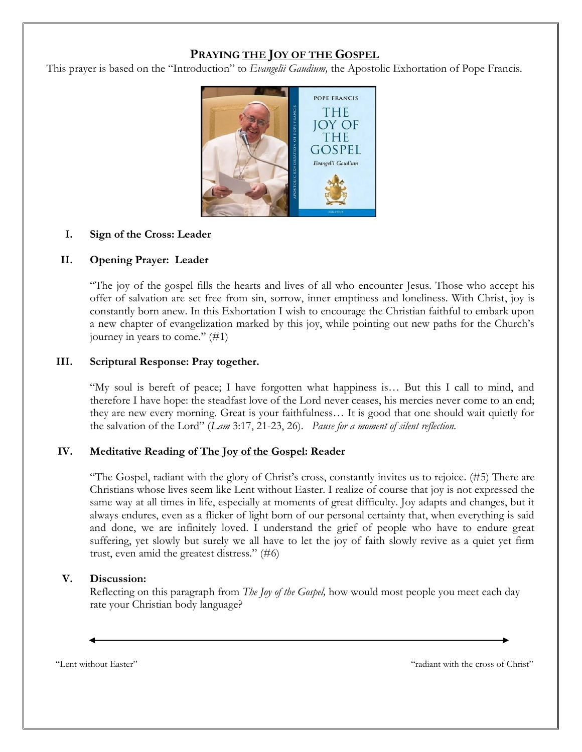# **PRAYING THE JOY OF THE GOSPEL**

This prayer is based on the "Introduction" to *Evangelii Gaudium,* the Apostolic Exhortation of Pope Francis.



#### **I. Sign of the Cross: Leader**

#### **II. Opening Prayer: Leader**

"The joy of the gospel fills the hearts and lives of all who encounter Jesus. Those who accept his offer of salvation are set free from sin, sorrow, inner emptiness and loneliness. With Christ, joy is constantly born anew. In this Exhortation I wish to encourage the Christian faithful to embark upon a new chapter of evangelization marked by this joy, while pointing out new paths for the Church's journey in years to come." (#1)

#### **III. Scriptural Response: Pray together.**

"My soul is bereft of peace; I have forgotten what happiness is… But this I call to mind, and therefore I have hope: the steadfast love of the Lord never ceases, his mercies never come to an end; they are new every morning. Great is your faithfulness… It is good that one should wait quietly for the salvation of the Lord" (*Lam* 3:17, 21-23, 26). *Pause for a moment of silent reflection.*

## **IV. Meditative Reading of The Joy of the Gospel: Reader**

"The Gospel, radiant with the glory of Christ's cross, constantly invites us to rejoice. (#5) There are Christians whose lives seem like Lent without Easter. I realize of course that joy is not expressed the same way at all times in life, especially at moments of great difficulty. Joy adapts and changes, but it always endures, even as a flicker of light born of our personal certainty that, when everything is said and done, we are infinitely loved. I understand the grief of people who have to endure great suffering, yet slowly but surely we all have to let the joy of faith slowly revive as a quiet yet firm trust, even amid the greatest distress." (#6)

## **V. Discussion:**

Reflecting on this paragraph from *The Joy of the Gospel,* how would most people you meet each day rate your Christian body language?

"Lent without Easter" "radiant with the cross of Christ"